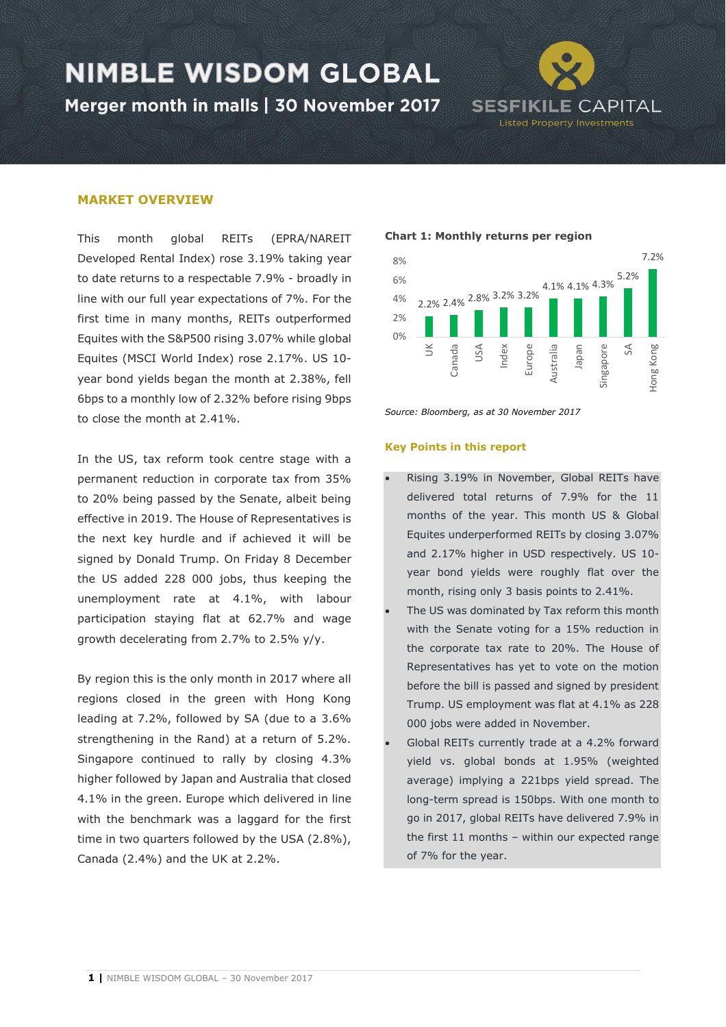Merger month in malls | 30 November 2017



#### **MARKET OVERVIEW**

This month global REITs (EPRA/NAREIT Developed Rental Index) rose 3.19% taking year to date returns to a respectable 7.9% - broadly in line with our full year expectations of 7%. For the first time in many months, REITs outperformed Equites with the S&P500 rising 3.07% while global Equites (MSCI World Index) rose 2.17%. US 10 year bond yields began the month at 2.38%, fell 6bps to a monthly low of 2.32% before rising 9bps to close the month at 2.41%.

In the US, tax reform took centre stage with a permanent reduction in corporate tax from 35% to 20% being passed by the Senate, albeit being effective in 2019. The House of Representatives is the next key hurdle and if achieved it will be signed by Donald Trump. On Friday 8 December the US added 228 000 jobs, thus keeping the unemployment rate at 4.1%, with labour participation staying flat at 62.7% and wage growth decelerating from 2.7% to 2.5% y/y.

By region this is the only month in 2017 where all regions closed in the green with Hong Kong leading at 7.2%, followed by SA (due to a 3.6% strengthening in the Rand) at a return of 5.2%. Singapore continued to rally by closing 4.3% higher followed by Japan and Australia that closed 4.1% in the green. Europe which delivered in line with the benchmark was a laggard for the first time in two quarters followed by the USA (2.8%), Canada (2.4%) and the UK at 2.2%.

#### **Chart 1: Monthly returns per region**



*Source: Bloomberg, as at 30 November 2017*

#### **Key Points in this report**

- Rising 3.19% in November, Global REITs have delivered total returns of 7.9% for the 11 months of the year. This month US & Global Equites underperformed REITs by closing 3.07% and 2.17% higher in USD respectively. US 10 year bond yields were roughly flat over the month, rising only 3 basis points to 2.41%.
- The US was dominated by Tax reform this month with the Senate voting for a 15% reduction in the corporate tax rate to 20%. The House of Representatives has yet to vote on the motion before the bill is passed and signed by president Trump. US employment was flat at 4.1% as 228 000 jobs were added in November.
- Global REITs currently trade at a 4.2% forward yield vs. global bonds at 1.95% (weighted average) implying a 221bps yield spread. The long-term spread is 150bps. With one month to go in 2017, global REITs have delivered 7.9% in the first 11 months – within our expected range of 7% for the year.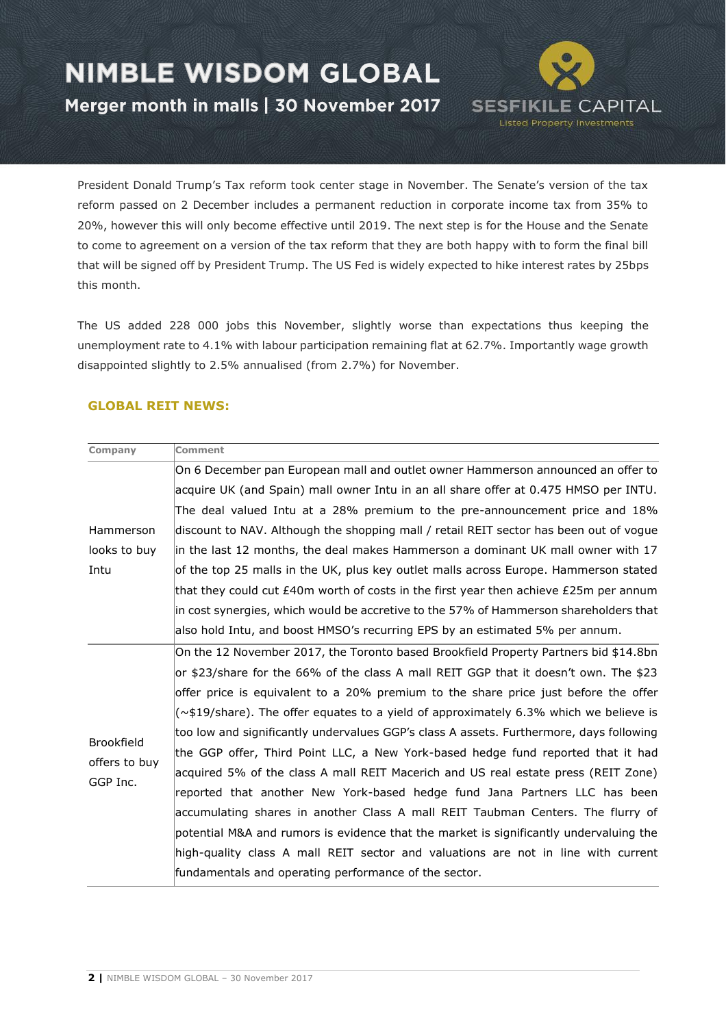Merger month in malls | 30 November 2017

**SESFIKILE CAPITAL Listed Property Investments** 

President Donald Trump's Tax reform took center stage in November. The Senate's version of the tax reform passed on 2 December includes a permanent reduction in corporate income tax from 35% to 20%, however this will only become effective until 2019. The next step is for the House and the Senate to come to agreement on a version of the tax reform that they are both happy with to form the final bill that will be signed off by President Trump. The US Fed is widely expected to hike interest rates by 25bps this month.

The US added 228 000 jobs this November, slightly worse than expectations thus keeping the unemployment rate to 4.1% with labour participation remaining flat at 62.7%. Importantly wage growth disappointed slightly to 2.5% annualised (from 2.7%) for November.

### **GLOBAL REIT NEWS:**

| <b>Comment</b>                                                                              |
|---------------------------------------------------------------------------------------------|
| On 6 December pan European mall and outlet owner Hammerson announced an offer to            |
| acquire UK (and Spain) mall owner Intu in an all share offer at 0.475 HMSO per INTU.        |
| The deal valued Intu at a 28% premium to the pre-announcement price and 18%                 |
| discount to NAV. Although the shopping mall / retail REIT sector has been out of vogue      |
| in the last 12 months, the deal makes Hammerson a dominant UK mall owner with 17            |
| of the top 25 malls in the UK, plus key outlet malls across Europe. Hammerson stated        |
| that they could cut £40m worth of costs in the first year then achieve £25m per annum       |
| in cost synergies, which would be accretive to the 57% of Hammerson shareholders that       |
| also hold Intu, and boost HMSO's recurring EPS by an estimated 5% per annum.                |
| On the 12 November 2017, the Toronto based Brookfield Property Partners bid \$14.8bn        |
| or \$23/share for the 66% of the class A mall REIT GGP that it doesn't own. The \$23        |
| offer price is equivalent to a 20% premium to the share price just before the offer         |
| $(\sim$ \$19/share). The offer equates to a yield of approximately 6.3% which we believe is |
| too low and significantly undervalues GGP's class A assets. Furthermore, days following     |
| the GGP offer, Third Point LLC, a New York-based hedge fund reported that it had            |
| acquired 5% of the class A mall REIT Macerich and US real estate press (REIT Zone)          |
| reported that another New York-based hedge fund Jana Partners LLC has been                  |
| accumulating shares in another Class A mall REIT Taubman Centers. The flurry of             |
| potential M&A and rumors is evidence that the market is significantly undervaluing the      |
| high-quality class A mall REIT sector and valuations are not in line with current           |
| fundamentals and operating performance of the sector.                                       |
|                                                                                             |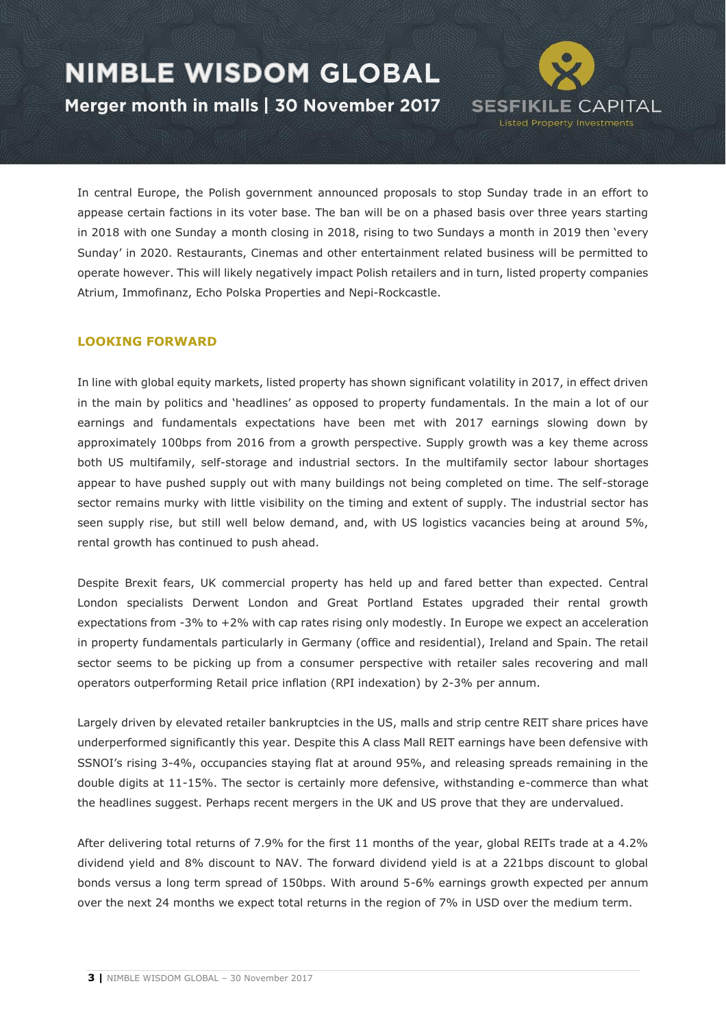Merger month in malls | 30 November 2017

In central Europe, the Polish government announced proposals to stop Sunday trade in an effort to appease certain factions in its voter base. The ban will be on a phased basis over three years starting in 2018 with one Sunday a month closing in 2018, rising to two Sundays a month in 2019 then 'every Sunday' in 2020. Restaurants, Cinemas and other entertainment related business will be permitted to operate however. This will likely negatively impact Polish retailers and in turn, listed property companies Atrium, Immofinanz, Echo Polska Properties and Nepi-Rockcastle.

**SESFIKILE CAPITAL Listed Property Investments** 

### **LOOKING FORWARD**

In line with global equity markets, listed property has shown significant volatility in 2017, in effect driven in the main by politics and 'headlines' as opposed to property fundamentals. In the main a lot of our earnings and fundamentals expectations have been met with 2017 earnings slowing down by approximately 100bps from 2016 from a growth perspective. Supply growth was a key theme across both US multifamily, self-storage and industrial sectors. In the multifamily sector labour shortages appear to have pushed supply out with many buildings not being completed on time. The self-storage sector remains murky with little visibility on the timing and extent of supply. The industrial sector has seen supply rise, but still well below demand, and, with US logistics vacancies being at around 5%, rental growth has continued to push ahead.

Despite Brexit fears, UK commercial property has held up and fared better than expected. Central London specialists Derwent London and Great Portland Estates upgraded their rental growth expectations from -3% to +2% with cap rates rising only modestly. In Europe we expect an acceleration in property fundamentals particularly in Germany (office and residential), Ireland and Spain. The retail sector seems to be picking up from a consumer perspective with retailer sales recovering and mall operators outperforming Retail price inflation (RPI indexation) by 2-3% per annum.

Largely driven by elevated retailer bankruptcies in the US, malls and strip centre REIT share prices have underperformed significantly this year. Despite this A class Mall REIT earnings have been defensive with SSNOI's rising 3-4%, occupancies staying flat at around 95%, and releasing spreads remaining in the double digits at 11-15%. The sector is certainly more defensive, withstanding e-commerce than what the headlines suggest. Perhaps recent mergers in the UK and US prove that they are undervalued.

After delivering total returns of 7.9% for the first 11 months of the year, global REITs trade at a 4.2% dividend yield and 8% discount to NAV. The forward dividend yield is at a 221bps discount to global bonds versus a long term spread of 150bps. With around 5-6% earnings growth expected per annum over the next 24 months we expect total returns in the region of 7% in USD over the medium term.